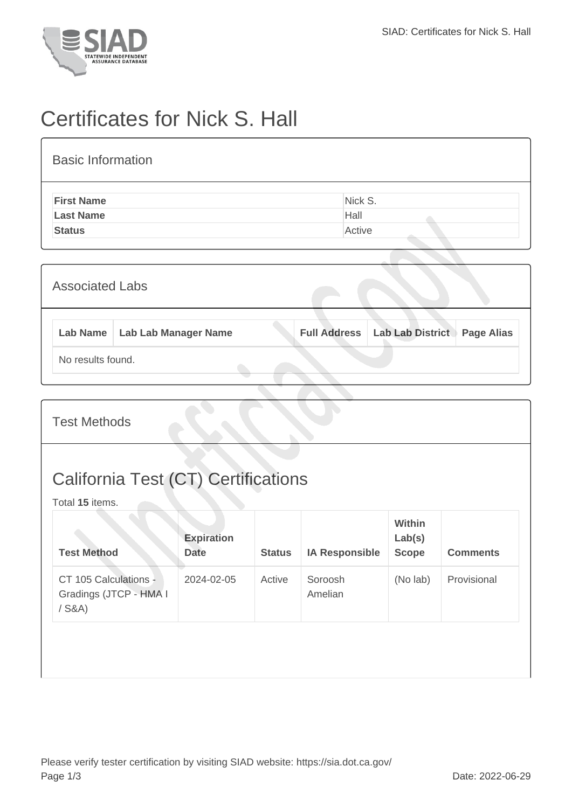

## Certificates for Nick S. Hall

| <b>Basic Information</b> |         |  |  |  |  |  |  |  |
|--------------------------|---------|--|--|--|--|--|--|--|
| <b>First Name</b>        | Nick S. |  |  |  |  |  |  |  |
| <b>Last Name</b>         | Hall    |  |  |  |  |  |  |  |
| <b>Status</b>            | Active  |  |  |  |  |  |  |  |
|                          |         |  |  |  |  |  |  |  |

| <b>Associated Labs</b> |                   |                                 |  |                                        |                   |  |
|------------------------|-------------------|---------------------------------|--|----------------------------------------|-------------------|--|
|                        |                   | Lab Name   Lab Lab Manager Name |  | <b>Full Address   Lab Lab District</b> | <b>Page Alias</b> |  |
|                        | No results found. |                                 |  |                                        |                   |  |

Test Methods

## California Test (CT) Certifications

Total **15** items.

| <b>Test Method</b>                                      | <b>Expiration</b><br><b>Date</b> | <b>Status</b> | <b>IA Responsible</b> | <b>Within</b><br>Lab(s)<br><b>Scope</b> | <b>Comments</b> |
|---------------------------------------------------------|----------------------------------|---------------|-----------------------|-----------------------------------------|-----------------|
| CT 105 Calculations -<br>Gradings (JTCP - HMA I<br>S&A) | 2024-02-05                       | Active        | Soroosh<br>Amelian    | (No lab)                                | Provisional     |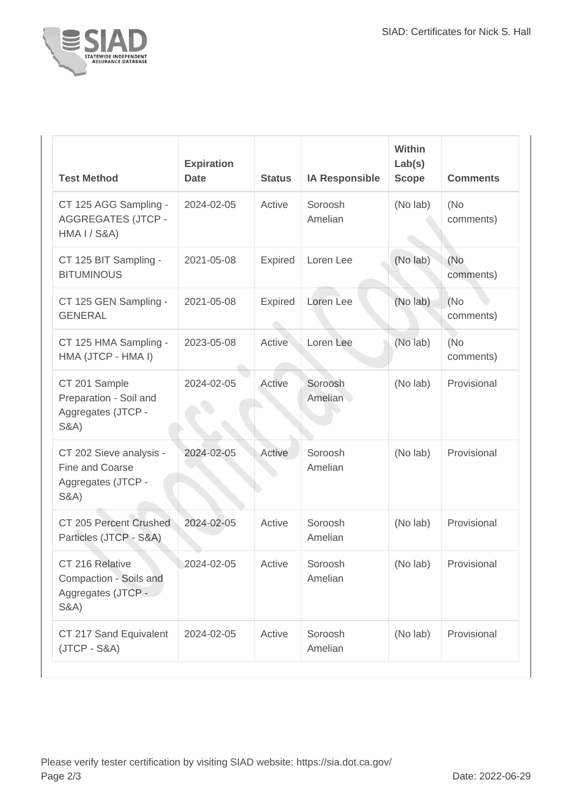

| <b>Test Method</b>                                                                   | <b>Expiration</b><br><b>Date</b> | <b>Status</b>  | <b>IA Responsible</b>     | Within<br>Lab(s)<br><b>Scope</b> | <b>Comments</b>   |
|--------------------------------------------------------------------------------------|----------------------------------|----------------|---------------------------|----------------------------------|-------------------|
| CT 125 AGG Sampling -<br><b>AGGREGATES (JTCP -</b><br><b>HMA I / S&amp;A)</b>        | 2024-02-05                       | Active         | Soroosh<br>Amelian        | (No lab)                         | (No<br>comments)  |
| CT 125 BIT Sampling -<br><b>BITUMINOUS</b>                                           | 2021-05-08                       | <b>Expired</b> | Loren Lee                 | (No lab)                         | (No<br>comments)  |
| CT 125 GEN Sampling -<br><b>GENERAL</b>                                              | 2021-05-08                       | <b>Expired</b> | Loren Lee                 | (No lab)                         | (No)<br>comments) |
| CT 125 HMA Sampling -<br>HMA (JTCP - HMA I)                                          | 2023-05-08                       | Active         | Loren Lee                 | (No lab)                         | (No<br>comments)  |
| CT 201 Sample<br>Preparation - Soil and<br>Aggregates (JTCP -<br><b>S&amp;A)</b>     | 2024-02-05                       | Active         | Soroosh<br><b>Amelian</b> | (No lab)                         | Provisional       |
| CT 202 Sieve analysis -<br>Fine and Coarse<br>Aggregates (JTCP -<br><b>S&amp;A</b> ) | 2024-02-05                       | Active         | Soroosh<br>Amelian        | (No lab)                         | Provisional       |
| CT 205 Percent Crushed<br>Particles (JTCP - S&A)                                     | 2024-02-05                       | Active         | Soroosh<br>Amelian        | (No lab)                         | Provisional       |
| CT 216 Relative<br>Compaction - Soils and<br>Aggregates (JTCP -<br><b>S&amp;A)</b>   | 2024-02-05                       | Active         | Soroosh<br>Amelian        | (No lab)                         | Provisional       |
| CT 217 Sand Equivalent<br>$(JTCP - S&A)$                                             | 2024-02-05                       | Active         | Soroosh<br>Amelian        | (No lab)                         | Provisional       |